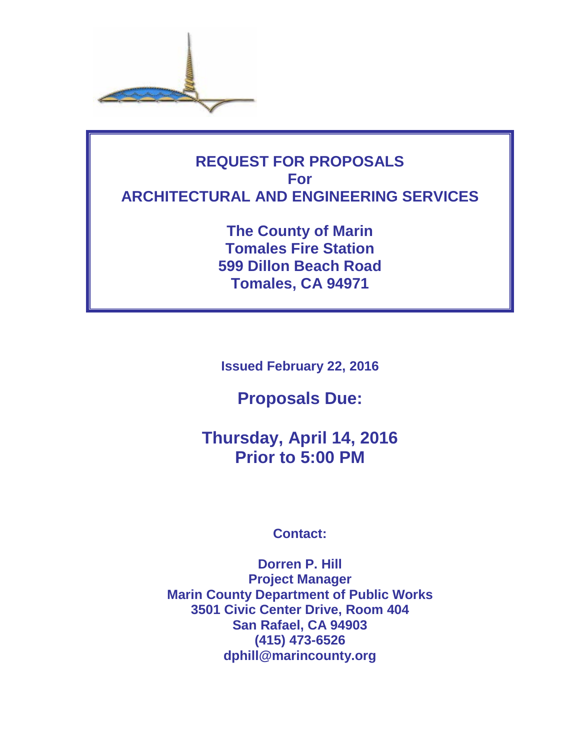

# **REQUEST FOR PROPOSALS For ARCHITECTURAL AND ENGINEERING SERVICES**

**The County of Marin Tomales Fire Station 599 Dillon Beach Road Tomales, CA 94971**

**Issued February 22, 2016**

**Proposals Due:**

**Thursday, April 14, 2016 Prior to 5:00 PM**

# **Contact:**

**Dorren P. Hill Project Manager Marin County Department of Public Works 3501 Civic Center Drive, Room 404 San Rafael, CA 94903 (415) 473-6526 dphill@marincounty.org**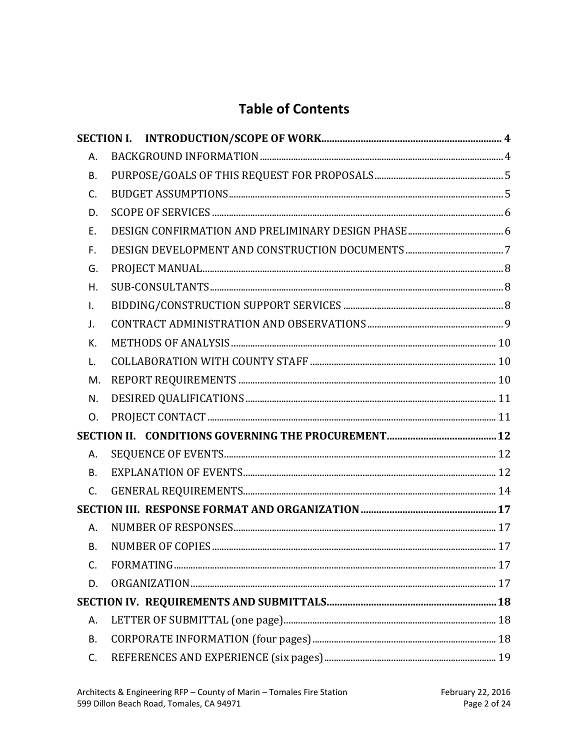# **Table of Contents**

| А.             |  |
|----------------|--|
| <b>B.</b>      |  |
| $\mathsf{C}$ . |  |
| D.             |  |
| Ε.             |  |
| F.             |  |
| G.             |  |
| H.             |  |
| I.             |  |
| J.             |  |
| К.             |  |
| L.             |  |
| M.             |  |
| N.             |  |
| O.             |  |
|                |  |
| А.             |  |
| <b>B.</b>      |  |
| $C_{1}$        |  |
|                |  |
| А.             |  |
| <b>B.</b>      |  |
| C.             |  |
| D.             |  |
|                |  |
| А.             |  |
| <b>B.</b>      |  |
| C.             |  |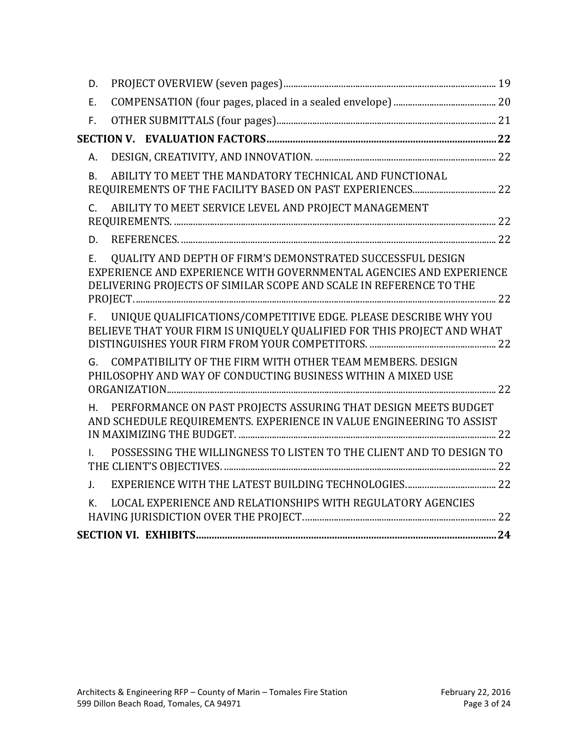| D.                                                                                                                                                                                                            |  |
|---------------------------------------------------------------------------------------------------------------------------------------------------------------------------------------------------------------|--|
| E.                                                                                                                                                                                                            |  |
| F.                                                                                                                                                                                                            |  |
|                                                                                                                                                                                                               |  |
| А.                                                                                                                                                                                                            |  |
| ABILITY TO MEET THE MANDATORY TECHNICAL AND FUNCTIONAL<br><b>B.</b>                                                                                                                                           |  |
| ABILITY TO MEET SERVICE LEVEL AND PROJECT MANAGEMENT<br>$C_{1}$                                                                                                                                               |  |
| D.                                                                                                                                                                                                            |  |
| QUALITY AND DEPTH OF FIRM'S DEMONSTRATED SUCCESSFUL DESIGN<br>Ε.<br>EXPERIENCE AND EXPERIENCE WITH GOVERNMENTAL AGENCIES AND EXPERIENCE<br>DELIVERING PROJECTS OF SIMILAR SCOPE AND SCALE IN REFERENCE TO THE |  |
| UNIQUE QUALIFICATIONS/COMPETITIVE EDGE. PLEASE DESCRIBE WHY YOU<br>F.<br>BELIEVE THAT YOUR FIRM IS UNIQUELY QUALIFIED FOR THIS PROJECT AND WHAT                                                               |  |
| COMPATIBILITY OF THE FIRM WITH OTHER TEAM MEMBERS. DESIGN<br>G.<br>PHILOSOPHY AND WAY OF CONDUCTING BUSINESS WITHIN A MIXED USE                                                                               |  |
| PERFORMANCE ON PAST PROJECTS ASSURING THAT DESIGN MEETS BUDGET<br>Η.<br>AND SCHEDULE REQUIREMENTS. EXPERIENCE IN VALUE ENGINEERING TO ASSIST                                                                  |  |
| POSSESSING THE WILLINGNESS TO LISTEN TO THE CLIENT AND TO DESIGN TO<br>L.                                                                                                                                     |  |
| $J_{\star}$                                                                                                                                                                                                   |  |
| LOCAL EXPERIENCE AND RELATIONSHIPS WITH REGULATORY AGENCIES<br>K.                                                                                                                                             |  |
|                                                                                                                                                                                                               |  |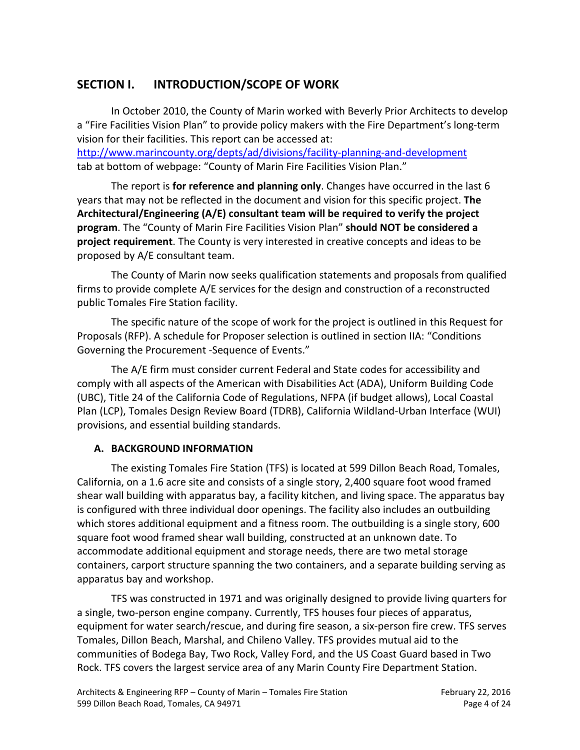# <span id="page-3-0"></span>**SECTION I. INTRODUCTION/SCOPE OF WORK**

In October 2010, the County of Marin worked with Beverly Prior Architects to develop a "Fire Facilities Vision Plan" to provide policy makers with the Fire Department's long-term vision for their facilities. This report can be accessed at:

<http://www.marincounty.org/depts/ad/divisions/facility-planning-and-development> tab at bottom of webpage: "County of Marin Fire Facilities Vision Plan."

The report is **for reference and planning only**. Changes have occurred in the last 6 years that may not be reflected in the document and vision for this specific project. **The Architectural/Engineering (A/E) consultant team will be required to verify the project program**. The "County of Marin Fire Facilities Vision Plan" **should NOT be considered a project requirement**. The County is very interested in creative concepts and ideas to be proposed by A/E consultant team.

The County of Marin now seeks qualification statements and proposals from qualified firms to provide complete A/E services for the design and construction of a reconstructed public Tomales Fire Station facility.

The specific nature of the scope of work for the project is outlined in this Request for Proposals (RFP). A schedule for Proposer selection is outlined in section IIA: "Conditions Governing the Procurement -Sequence of Events."

The A/E firm must consider current Federal and State codes for accessibility and comply with all aspects of the American with Disabilities Act (ADA), Uniform Building Code (UBC), Title 24 of the California Code of Regulations, NFPA (if budget allows), Local Coastal Plan (LCP), Tomales Design Review Board (TDRB), California Wildland-Urban Interface (WUI) provisions, and essential building standards.

## <span id="page-3-1"></span>**A. BACKGROUND INFORMATION**

The existing Tomales Fire Station (TFS) is located at 599 Dillon Beach Road, Tomales, California, on a 1.6 acre site and consists of a single story, 2,400 square foot wood framed shear wall building with apparatus bay, a facility kitchen, and living space. The apparatus bay is configured with three individual door openings. The facility also includes an outbuilding which stores additional equipment and a fitness room. The outbuilding is a single story, 600 square foot wood framed shear wall building, constructed at an unknown date. To accommodate additional equipment and storage needs, there are two metal storage containers, carport structure spanning the two containers, and a separate building serving as apparatus bay and workshop.

TFS was constructed in 1971 and was originally designed to provide living quarters for a single, two-person engine company. Currently, TFS houses four pieces of apparatus, equipment for water search/rescue, and during fire season, a six-person fire crew. TFS serves Tomales, Dillon Beach, Marshal, and Chileno Valley. TFS provides mutual aid to the communities of Bodega Bay, Two Rock, Valley Ford, and the US Coast Guard based in Two Rock. TFS covers the largest service area of any Marin County Fire Department Station.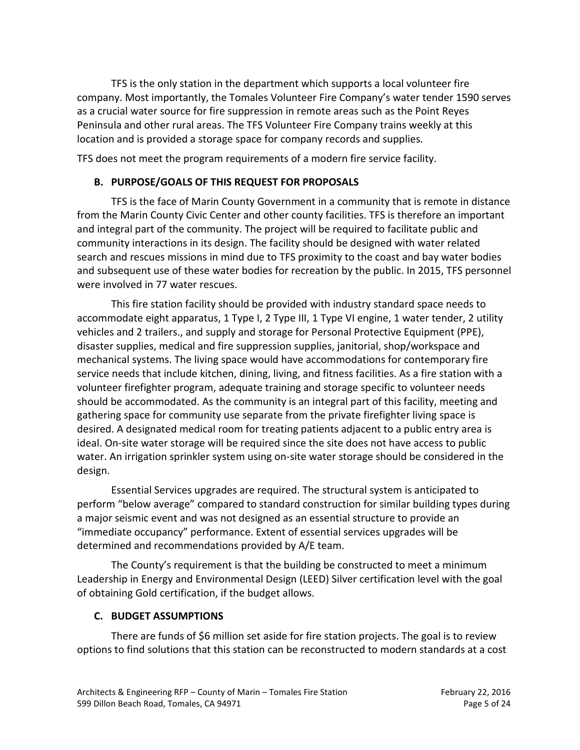TFS is the only station in the department which supports a local volunteer fire company. Most importantly, the Tomales Volunteer Fire Company's water tender 1590 serves as a crucial water source for fire suppression in remote areas such as the Point Reyes Peninsula and other rural areas. The TFS Volunteer Fire Company trains weekly at this location and is provided a storage space for company records and supplies.

<span id="page-4-0"></span>TFS does not meet the program requirements of a modern fire service facility.

#### **B. PURPOSE/GOALS OF THIS REQUEST FOR PROPOSALS**

TFS is the face of Marin County Government in a community that is remote in distance from the Marin County Civic Center and other county facilities. TFS is therefore an important and integral part of the community. The project will be required to facilitate public and community interactions in its design. The facility should be designed with water related search and rescues missions in mind due to TFS proximity to the coast and bay water bodies and subsequent use of these water bodies for recreation by the public. In 2015, TFS personnel were involved in 77 water rescues.

This fire station facility should be provided with industry standard space needs to accommodate eight apparatus, 1 Type I, 2 Type III, 1 Type VI engine, 1 water tender, 2 utility vehicles and 2 trailers., and supply and storage for Personal Protective Equipment (PPE), disaster supplies, medical and fire suppression supplies, janitorial, shop/workspace and mechanical systems. The living space would have accommodations for contemporary fire service needs that include kitchen, dining, living, and fitness facilities. As a fire station with a volunteer firefighter program, adequate training and storage specific to volunteer needs should be accommodated. As the community is an integral part of this facility, meeting and gathering space for community use separate from the private firefighter living space is desired. A designated medical room for treating patients adjacent to a public entry area is ideal. On-site water storage will be required since the site does not have access to public water. An irrigation sprinkler system using on-site water storage should be considered in the design.

Essential Services upgrades are required. The structural system is anticipated to perform "below average" compared to standard construction for similar building types during a major seismic event and was not designed as an essential structure to provide an "immediate occupancy" performance. Extent of essential services upgrades will be determined and recommendations provided by A/E team.

The County's requirement is that the building be constructed to meet a minimum Leadership in Energy and Environmental Design (LEED) Silver certification level with the goal of obtaining Gold certification, if the budget allows.

#### <span id="page-4-1"></span>**C. BUDGET ASSUMPTIONS**

There are funds of \$6 million set aside for fire station projects. The goal is to review options to find solutions that this station can be reconstructed to modern standards at a cost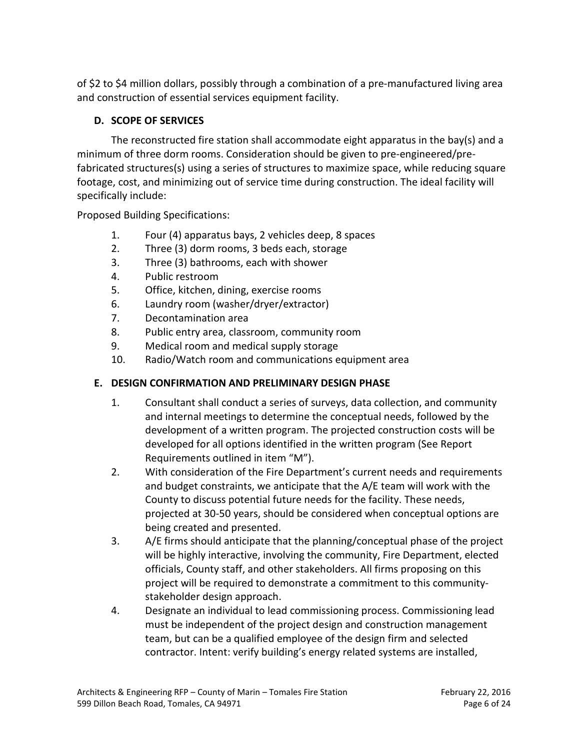of \$2 to \$4 million dollars, possibly through a combination of a pre-manufactured living area and construction of essential services equipment facility.

## <span id="page-5-0"></span>**D. SCOPE OF SERVICES**

The reconstructed fire station shall accommodate eight apparatus in the bay(s) and a minimum of three dorm rooms. Consideration should be given to pre-engineered/prefabricated structures(s) using a series of structures to maximize space, while reducing square footage, cost, and minimizing out of service time during construction. The ideal facility will specifically include:

Proposed Building Specifications:

- 1. Four (4) apparatus bays, 2 vehicles deep, 8 spaces
- 2. Three (3) dorm rooms, 3 beds each, storage
- 3. Three (3) bathrooms, each with shower
- 4. Public restroom
- 5. Office, kitchen, dining, exercise rooms
- 6. Laundry room (washer/dryer/extractor)
- 7. Decontamination area
- 8. Public entry area, classroom, community room
- 9. Medical room and medical supply storage
- 10. Radio/Watch room and communications equipment area

# <span id="page-5-1"></span>**E. DESIGN CONFIRMATION AND PRELIMINARY DESIGN PHASE**

- 1. Consultant shall conduct a series of surveys, data collection, and community and internal meetings to determine the conceptual needs, followed by the development of a written program. The projected construction costs will be developed for all options identified in the written program (See Report Requirements outlined in item "M").
- 2. With consideration of the Fire Department's current needs and requirements and budget constraints, we anticipate that the A/E team will work with the County to discuss potential future needs for the facility. These needs, projected at 30-50 years, should be considered when conceptual options are being created and presented.
- 3. A/E firms should anticipate that the planning/conceptual phase of the project will be highly interactive, involving the community, Fire Department, elected officials, County staff, and other stakeholders. All firms proposing on this project will be required to demonstrate a commitment to this communitystakeholder design approach.
- 4. Designate an individual to lead commissioning process. Commissioning lead must be independent of the project design and construction management team, but can be a qualified employee of the design firm and selected contractor. Intent: verify building's energy related systems are installed,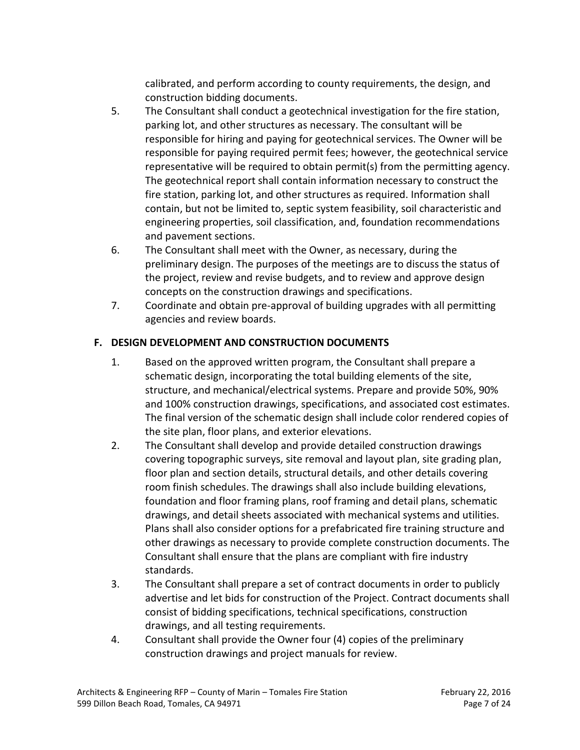calibrated, and perform according to county requirements, the design, and construction bidding documents.

- 5. The Consultant shall conduct a geotechnical investigation for the fire station, parking lot, and other structures as necessary. The consultant will be responsible for hiring and paying for geotechnical services. The Owner will be responsible for paying required permit fees; however, the geotechnical service representative will be required to obtain permit(s) from the permitting agency. The geotechnical report shall contain information necessary to construct the fire station, parking lot, and other structures as required. Information shall contain, but not be limited to, septic system feasibility, soil characteristic and engineering properties, soil classification, and, foundation recommendations and pavement sections.
- 6. The Consultant shall meet with the Owner, as necessary, during the preliminary design. The purposes of the meetings are to discuss the status of the project, review and revise budgets, and to review and approve design concepts on the construction drawings and specifications.
- 7. Coordinate and obtain pre-approval of building upgrades with all permitting agencies and review boards.

# <span id="page-6-0"></span>**F. DESIGN DEVELOPMENT AND CONSTRUCTION DOCUMENTS**

- 1. Based on the approved written program, the Consultant shall prepare a schematic design, incorporating the total building elements of the site, structure, and mechanical/electrical systems. Prepare and provide 50%, 90% and 100% construction drawings, specifications, and associated cost estimates. The final version of the schematic design shall include color rendered copies of the site plan, floor plans, and exterior elevations.
- 2. The Consultant shall develop and provide detailed construction drawings covering topographic surveys, site removal and layout plan, site grading plan, floor plan and section details, structural details, and other details covering room finish schedules. The drawings shall also include building elevations, foundation and floor framing plans, roof framing and detail plans, schematic drawings, and detail sheets associated with mechanical systems and utilities. Plans shall also consider options for a prefabricated fire training structure and other drawings as necessary to provide complete construction documents. The Consultant shall ensure that the plans are compliant with fire industry standards.
- 3. The Consultant shall prepare a set of contract documents in order to publicly advertise and let bids for construction of the Project. Contract documents shall consist of bidding specifications, technical specifications, construction drawings, and all testing requirements.
- 4. Consultant shall provide the Owner four (4) copies of the preliminary construction drawings and project manuals for review.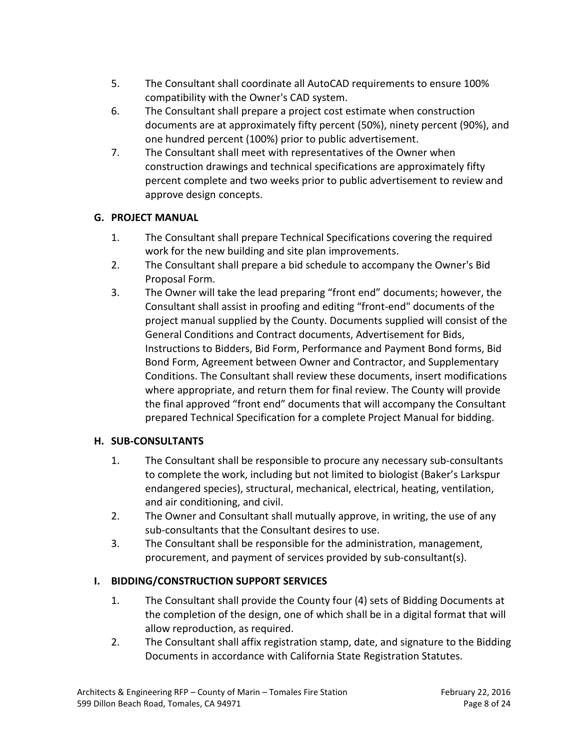- 5. The Consultant shall coordinate all AutoCAD requirements to ensure 100% compatibility with the Owner's CAD system.
- 6. The Consultant shall prepare a project cost estimate when construction documents are at approximately fifty percent (50%), ninety percent (90%), and one hundred percent (100%) prior to public advertisement.
- 7. The Consultant shall meet with representatives of the Owner when construction drawings and technical specifications are approximately fifty percent complete and two weeks prior to public advertisement to review and approve design concepts.

## <span id="page-7-0"></span>**G. PROJECT MANUAL**

- 1. The Consultant shall prepare Technical Specifications covering the required work for the new building and site plan improvements.
- 2. The Consultant shall prepare a bid schedule to accompany the Owner's Bid Proposal Form.
- 3. The Owner will take the lead preparing "front end" documents; however, the Consultant shall assist in proofing and editing "front-end" documents of the project manual supplied by the County. Documents supplied will consist of the General Conditions and Contract documents, Advertisement for Bids, Instructions to Bidders, Bid Form, Performance and Payment Bond forms, Bid Bond Form, Agreement between Owner and Contractor, and Supplementary Conditions. The Consultant shall review these documents, insert modifications where appropriate, and return them for final review. The County will provide the final approved "front end" documents that will accompany the Consultant prepared Technical Specification for a complete Project Manual for bidding.

## <span id="page-7-1"></span>**H. SUB-CONSULTANTS**

- 1. The Consultant shall be responsible to procure any necessary sub-consultants to complete the work, including but not limited to biologist (Baker's Larkspur endangered species), structural, mechanical, electrical, heating, ventilation, and air conditioning, and civil.
- 2. The Owner and Consultant shall mutually approve, in writing, the use of any sub-consultants that the Consultant desires to use.
- 3. The Consultant shall be responsible for the administration, management, procurement, and payment of services provided by sub-consultant(s).

## <span id="page-7-2"></span>**I. BIDDING/CONSTRUCTION SUPPORT SERVICES**

- 1. The Consultant shall provide the County four (4) sets of Bidding Documents at the completion of the design, one of which shall be in a digital format that will allow reproduction, as required.
- 2. The Consultant shall affix registration stamp, date, and signature to the Bidding Documents in accordance with California State Registration Statutes.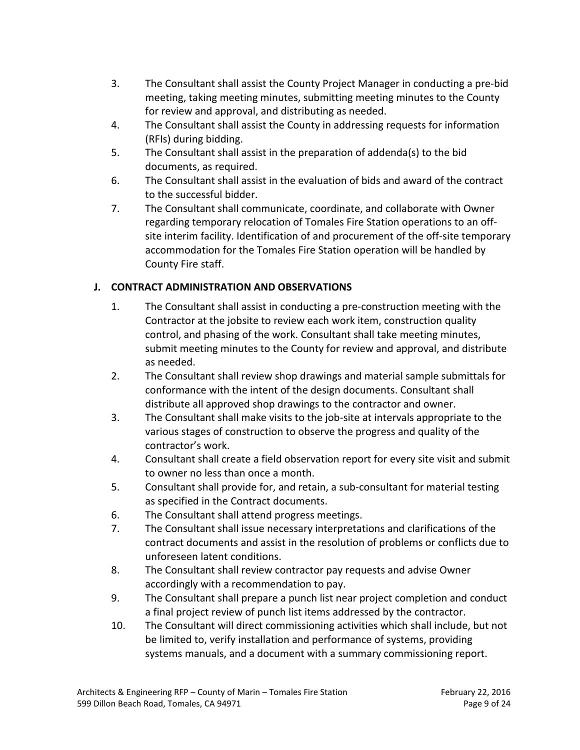- 3. The Consultant shall assist the County Project Manager in conducting a pre-bid meeting, taking meeting minutes, submitting meeting minutes to the County for review and approval, and distributing as needed.
- 4. The Consultant shall assist the County in addressing requests for information (RFIs) during bidding.
- 5. The Consultant shall assist in the preparation of addenda(s) to the bid documents, as required.
- 6. The Consultant shall assist in the evaluation of bids and award of the contract to the successful bidder.
- 7. The Consultant shall communicate, coordinate, and collaborate with Owner regarding temporary relocation of Tomales Fire Station operations to an offsite interim facility. Identification of and procurement of the off-site temporary accommodation for the Tomales Fire Station operation will be handled by County Fire staff.

## <span id="page-8-0"></span>**J. CONTRACT ADMINISTRATION AND OBSERVATIONS**

- 1. The Consultant shall assist in conducting a pre-construction meeting with the Contractor at the jobsite to review each work item, construction quality control, and phasing of the work. Consultant shall take meeting minutes, submit meeting minutes to the County for review and approval, and distribute as needed.
- 2. The Consultant shall review shop drawings and material sample submittals for conformance with the intent of the design documents. Consultant shall distribute all approved shop drawings to the contractor and owner.
- 3. The Consultant shall make visits to the job-site at intervals appropriate to the various stages of construction to observe the progress and quality of the contractor's work.
- 4. Consultant shall create a field observation report for every site visit and submit to owner no less than once a month.
- 5. Consultant shall provide for, and retain, a sub-consultant for material testing as specified in the Contract documents.
- 6. The Consultant shall attend progress meetings.
- 7. The Consultant shall issue necessary interpretations and clarifications of the contract documents and assist in the resolution of problems or conflicts due to unforeseen latent conditions.
- 8. The Consultant shall review contractor pay requests and advise Owner accordingly with a recommendation to pay.
- 9. The Consultant shall prepare a punch list near project completion and conduct a final project review of punch list items addressed by the contractor.
- 10. The Consultant will direct commissioning activities which shall include, but not be limited to, verify installation and performance of systems, providing systems manuals, and a document with a summary commissioning report.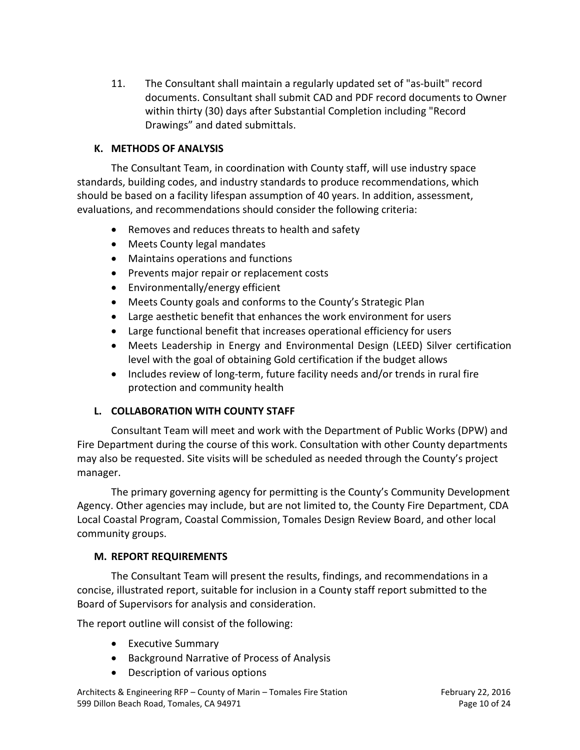11. The Consultant shall maintain a regularly updated set of "as-built" record documents. Consultant shall submit CAD and PDF record documents to Owner within thirty (30) days after Substantial Completion including "Record Drawings" and dated submittals.

#### <span id="page-9-0"></span>**K. METHODS OF ANALYSIS**

The Consultant Team, in coordination with County staff, will use industry space standards, building codes, and industry standards to produce recommendations, which should be based on a facility lifespan assumption of 40 years. In addition, assessment, evaluations, and recommendations should consider the following criteria:

- Removes and reduces threats to health and safety
- Meets County legal mandates
- Maintains operations and functions
- Prevents major repair or replacement costs
- Environmentally/energy efficient
- Meets County goals and conforms to the County's Strategic Plan
- Large aesthetic benefit that enhances the work environment for users
- Large functional benefit that increases operational efficiency for users
- Meets Leadership in Energy and Environmental Design (LEED) Silver certification level with the goal of obtaining Gold certification if the budget allows
- Includes review of long-term, future facility needs and/or trends in rural fire protection and community health

## <span id="page-9-1"></span>**L. COLLABORATION WITH COUNTY STAFF**

Consultant Team will meet and work with the Department of Public Works (DPW) and Fire Department during the course of this work. Consultation with other County departments may also be requested. Site visits will be scheduled as needed through the County's project manager.

The primary governing agency for permitting is the County's Community Development Agency. Other agencies may include, but are not limited to, the County Fire Department, CDA Local Coastal Program, Coastal Commission, Tomales Design Review Board, and other local community groups.

#### <span id="page-9-2"></span>**M. REPORT REQUIREMENTS**

The Consultant Team will present the results, findings, and recommendations in a concise, illustrated report, suitable for inclusion in a County staff report submitted to the Board of Supervisors for analysis and consideration.

The report outline will consist of the following:

- Executive Summary
- Background Narrative of Process of Analysis
- Description of various options

Architects & Engineering RFP – County of Marin – Tomales Fire Station February 22, 2016 599 Dillon Beach Road, Tomales, CA 94971 **Page 10 of 24** Page 10 of 24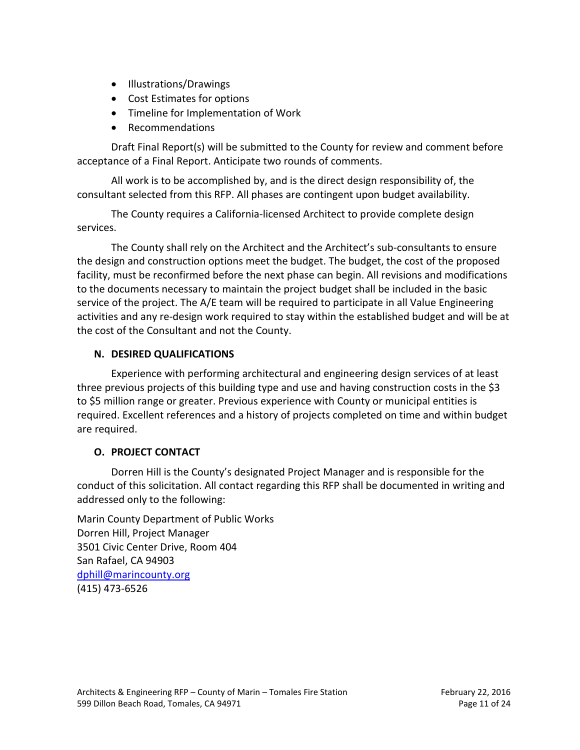- Illustrations/Drawings
- Cost Estimates for options
- Timeline for Implementation of Work
- Recommendations

Draft Final Report(s) will be submitted to the County for review and comment before acceptance of a Final Report. Anticipate two rounds of comments.

All work is to be accomplished by, and is the direct design responsibility of, the consultant selected from this RFP. All phases are contingent upon budget availability.

The County requires a California-licensed Architect to provide complete design services.

The County shall rely on the Architect and the Architect's sub-consultants to ensure the design and construction options meet the budget. The budget, the cost of the proposed facility, must be reconfirmed before the next phase can begin. All revisions and modifications to the documents necessary to maintain the project budget shall be included in the basic service of the project. The A/E team will be required to participate in all Value Engineering activities and any re-design work required to stay within the established budget and will be at the cost of the Consultant and not the County.

#### <span id="page-10-0"></span>**N. DESIRED QUALIFICATIONS**

Experience with performing architectural and engineering design services of at least three previous projects of this building type and use and having construction costs in the \$3 to \$5 million range or greater. Previous experience with County or municipal entities is required. Excellent references and a history of projects completed on time and within budget are required.

#### <span id="page-10-1"></span>**O. PROJECT CONTACT**

Dorren Hill is the County's designated Project Manager and is responsible for the conduct of this solicitation. All contact regarding this RFP shall be documented in writing and addressed only to the following:

Marin County Department of Public Works Dorren Hill, Project Manager 3501 Civic Center Drive, Room 404 San Rafael, CA 94903 [dphill@marincounty.org](mailto:jmiche@marincounty.org) (415) 473-6526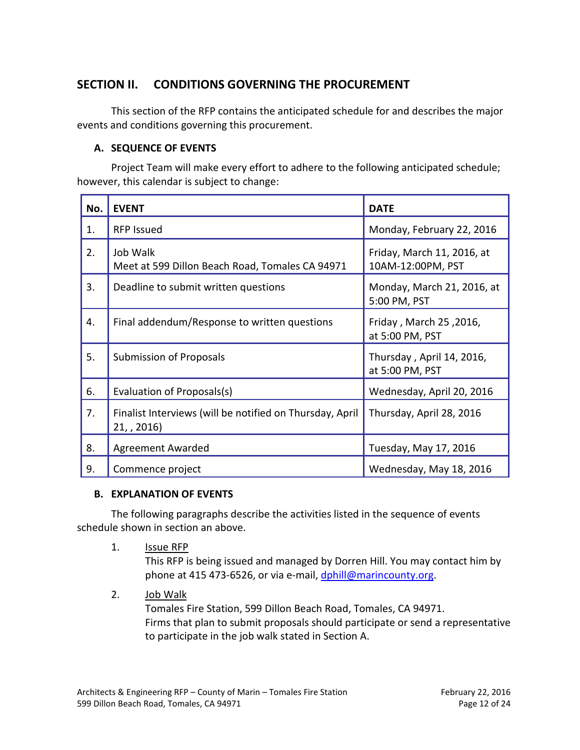# <span id="page-11-0"></span>**SECTION II. CONDITIONS GOVERNING THE PROCUREMENT**

This section of the RFP contains the anticipated schedule for and describes the major events and conditions governing this procurement.

#### <span id="page-11-1"></span>**A. SEQUENCE OF EVENTS**

Project Team will make every effort to adhere to the following anticipated schedule; however, this calendar is subject to change:

| No. | <b>EVENT</b>                                                         | <b>DATE</b>                                     |
|-----|----------------------------------------------------------------------|-------------------------------------------------|
| 1.  | <b>RFP Issued</b>                                                    | Monday, February 22, 2016                       |
| 2.  | Job Walk<br>Meet at 599 Dillon Beach Road, Tomales CA 94971          | Friday, March 11, 2016, at<br>10AM-12:00PM, PST |
| 3.  | Deadline to submit written questions                                 | Monday, March 21, 2016, at<br>5:00 PM, PST      |
| 4.  | Final addendum/Response to written questions                         | Friday, March 25, 2016,<br>at 5:00 PM, PST      |
| 5.  | <b>Submission of Proposals</b>                                       | Thursday, April 14, 2016,<br>at 5:00 PM, PST    |
| 6.  | Evaluation of Proposals(s)                                           | Wednesday, April 20, 2016                       |
| 7.  | Finalist Interviews (will be notified on Thursday, April<br>21, 2016 | Thursday, April 28, 2016                        |
| 8.  | <b>Agreement Awarded</b>                                             | Tuesday, May 17, 2016                           |
| 9.  | Commence project                                                     | Wednesday, May 18, 2016                         |

#### <span id="page-11-2"></span>**B. EXPLANATION OF EVENTS**

The following paragraphs describe the activities listed in the sequence of events schedule shown in section an above.

1. Issue RFP

This RFP is being issued and managed by Dorren Hill. You may contact him by phone at 415 473-6526, or via e-mail, [dphill@marincounty.org.](mailto:dphill@marincounty.org)

2. Job Walk

Tomales Fire Station, 599 Dillon Beach Road, Tomales, CA 94971. Firms that plan to submit proposals should participate or send a representative to participate in the job walk stated in Section A.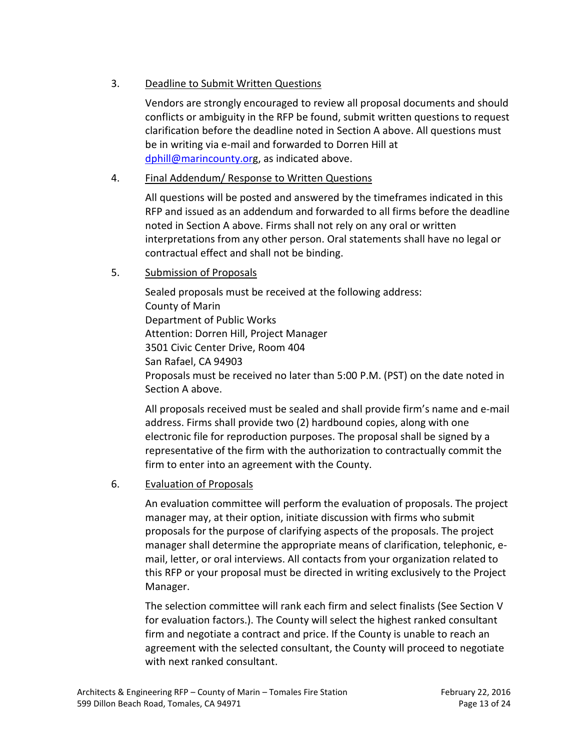### 3. Deadline to Submit Written Questions

Vendors are strongly encouraged to review all proposal documents and should conflicts or ambiguity in the RFP be found, submit written questions to request clarification before the deadline noted in Section A above. All questions must be in writing via e-mail and forwarded to Dorren Hill at [dphill@marincounty.org](mailto:dphill@marincounty.or), as indicated above.

### 4. Final Addendum/ Response to Written Questions

All questions will be posted and answered by the timeframes indicated in this RFP and issued as an addendum and forwarded to all firms before the deadline noted in Section A above. Firms shall not rely on any oral or written interpretations from any other person. Oral statements shall have no legal or contractual effect and shall not be binding.

#### 5. Submission of Proposals

Sealed proposals must be received at the following address: County of Marin Department of Public Works Attention: Dorren Hill, Project Manager 3501 Civic Center Drive, Room 404 San Rafael, CA 94903 Proposals must be received no later than 5:00 P.M. (PST) on the date noted in Section A above.

All proposals received must be sealed and shall provide firm's name and e-mail address. Firms shall provide two (2) hardbound copies, along with one electronic file for reproduction purposes. The proposal shall be signed by a representative of the firm with the authorization to contractually commit the firm to enter into an agreement with the County.

#### 6. Evaluation of Proposals

An evaluation committee will perform the evaluation of proposals. The project manager may, at their option, initiate discussion with firms who submit proposals for the purpose of clarifying aspects of the proposals. The project manager shall determine the appropriate means of clarification, telephonic, email, letter, or oral interviews. All contacts from your organization related to this RFP or your proposal must be directed in writing exclusively to the Project Manager.

The selection committee will rank each firm and select finalists (See Section V for evaluation factors.). The County will select the highest ranked consultant firm and negotiate a contract and price. If the County is unable to reach an agreement with the selected consultant, the County will proceed to negotiate with next ranked consultant.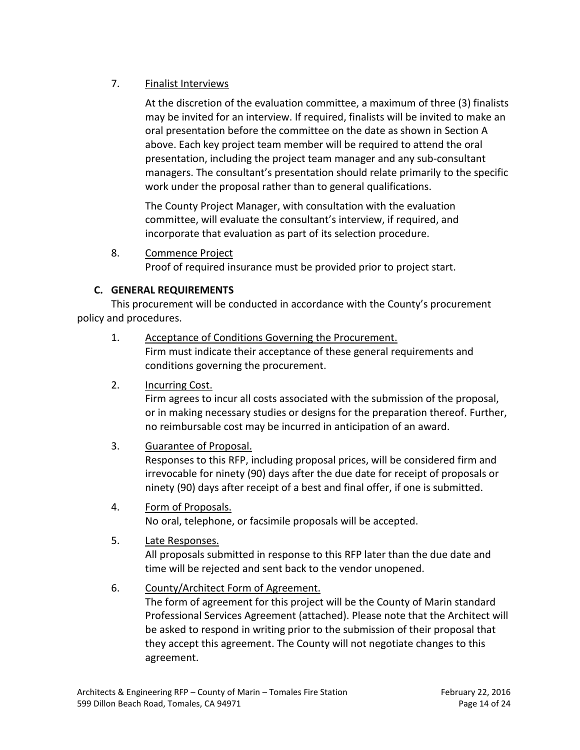## 7. Finalist Interviews

At the discretion of the evaluation committee, a maximum of three (3) finalists may be invited for an interview. If required, finalists will be invited to make an oral presentation before the committee on the date as shown in Section A above. Each key project team member will be required to attend the oral presentation, including the project team manager and any sub-consultant managers. The consultant's presentation should relate primarily to the specific work under the proposal rather than to general qualifications.

The County Project Manager, with consultation with the evaluation committee, will evaluate the consultant's interview, if required, and incorporate that evaluation as part of its selection procedure.

8. Commence Project Proof of required insurance must be provided prior to project start.

#### <span id="page-13-0"></span>**C. GENERAL REQUIREMENTS**

This procurement will be conducted in accordance with the County's procurement policy and procedures.

- 1. Acceptance of Conditions Governing the Procurement. Firm must indicate their acceptance of these general requirements and conditions governing the procurement.
- 2. Incurring Cost.

Firm agrees to incur all costs associated with the submission of the proposal, or in making necessary studies or designs for the preparation thereof. Further, no reimbursable cost may be incurred in anticipation of an award.

3. Guarantee of Proposal.

Responses to this RFP, including proposal prices, will be considered firm and irrevocable for ninety (90) days after the due date for receipt of proposals or ninety (90) days after receipt of a best and final offer, if one is submitted.

4. Form of Proposals.

No oral, telephone, or facsimile proposals will be accepted.

5. Late Responses.

All proposals submitted in response to this RFP later than the due date and time will be rejected and sent back to the vendor unopened.

#### 6. County/Architect Form of Agreement.

The form of agreement for this project will be the County of Marin standard Professional Services Agreement (attached). Please note that the Architect will be asked to respond in writing prior to the submission of their proposal that they accept this agreement. The County will not negotiate changes to this agreement.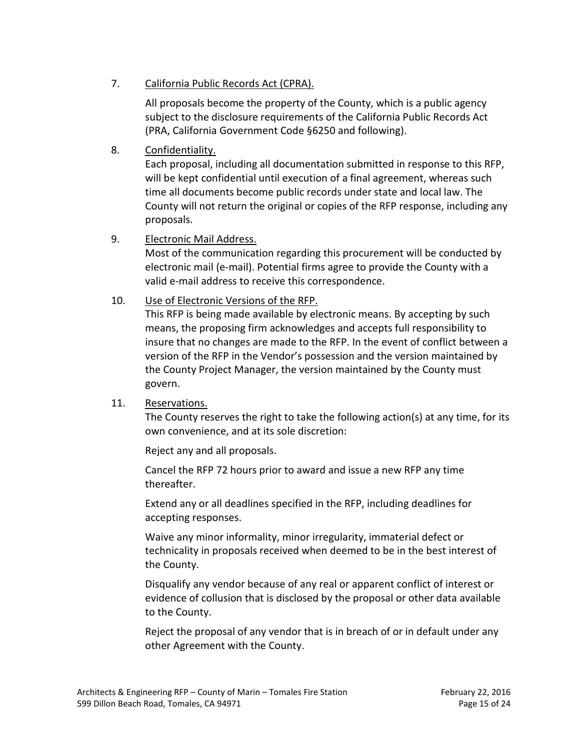#### 7. California Public Records Act (CPRA).

All proposals become the property of the County, which is a public agency subject to the disclosure requirements of the California Public Records Act (PRA, California Government Code §6250 and following).

### 8. Confidentiality.

Each proposal, including all documentation submitted in response to this RFP, will be kept confidential until execution of a final agreement, whereas such time all documents become public records under state and local law. The County will not return the original or copies of the RFP response, including any proposals.

#### 9. Electronic Mail Address.

Most of the communication regarding this procurement will be conducted by electronic mail (e-mail). Potential firms agree to provide the County with a valid e-mail address to receive this correspondence.

#### 10. Use of Electronic Versions of the RFP.

This RFP is being made available by electronic means. By accepting by such means, the proposing firm acknowledges and accepts full responsibility to insure that no changes are made to the RFP. In the event of conflict between a version of the RFP in the Vendor's possession and the version maintained by the County Project Manager, the version maintained by the County must govern.

#### 11. Reservations.

The County reserves the right to take the following action(s) at any time, for its own convenience, and at its sole discretion:

Reject any and all proposals.

Cancel the RFP 72 hours prior to award and issue a new RFP any time thereafter.

Extend any or all deadlines specified in the RFP, including deadlines for accepting responses.

Waive any minor informality, minor irregularity, immaterial defect or technicality in proposals received when deemed to be in the best interest of the County.

Disqualify any vendor because of any real or apparent conflict of interest or evidence of collusion that is disclosed by the proposal or other data available to the County.

Reject the proposal of any vendor that is in breach of or in default under any other Agreement with the County.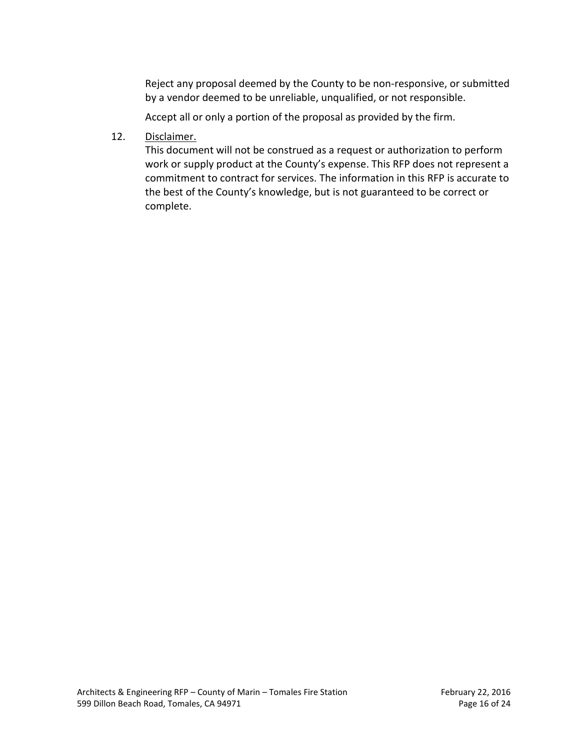Reject any proposal deemed by the County to be non-responsive, or submitted by a vendor deemed to be unreliable, unqualified, or not responsible.

Accept all or only a portion of the proposal as provided by the firm.

12. Disclaimer.

This document will not be construed as a request or authorization to perform work or supply product at the County's expense. This RFP does not represent a commitment to contract for services. The information in this RFP is accurate to the best of the County's knowledge, but is not guaranteed to be correct or complete.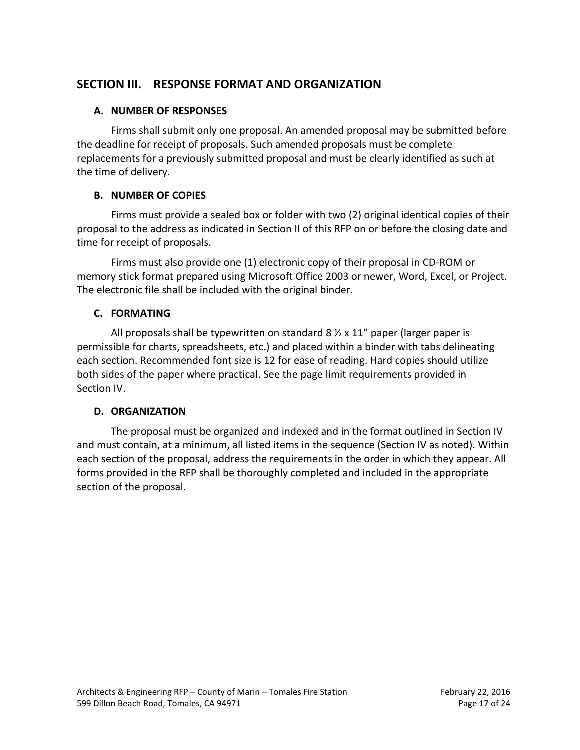# <span id="page-16-0"></span>**SECTION III. RESPONSE FORMAT AND ORGANIZATION**

#### <span id="page-16-1"></span>**A. NUMBER OF RESPONSES**

Firms shall submit only one proposal. An amended proposal may be submitted before the deadline for receipt of proposals. Such amended proposals must be complete replacements for a previously submitted proposal and must be clearly identified as such at the time of delivery.

#### <span id="page-16-2"></span>**B. NUMBER OF COPIES**

Firms must provide a sealed box or folder with two (2) original identical copies of their proposal to the address as indicated in Section II of this RFP on or before the closing date and time for receipt of proposals.

Firms must also provide one (1) electronic copy of their proposal in CD-ROM or memory stick format prepared using Microsoft Office 2003 or newer, Word, Excel, or Project. The electronic file shall be included with the original binder.

#### <span id="page-16-3"></span>**C. FORMATING**

All proposals shall be typewritten on standard  $8 \frac{1}{2} \times 11$ " paper (larger paper is permissible for charts, spreadsheets, etc.) and placed within a binder with tabs delineating each section. Recommended font size is 12 for ease of reading. Hard copies should utilize both sides of the paper where practical. See the page limit requirements provided in Section IV.

## <span id="page-16-4"></span>**D. ORGANIZATION**

The proposal must be organized and indexed and in the format outlined in Section IV and must contain, at a minimum, all listed items in the sequence (Section IV as noted). Within each section of the proposal, address the requirements in the order in which they appear. All forms provided in the RFP shall be thoroughly completed and included in the appropriate section of the proposal.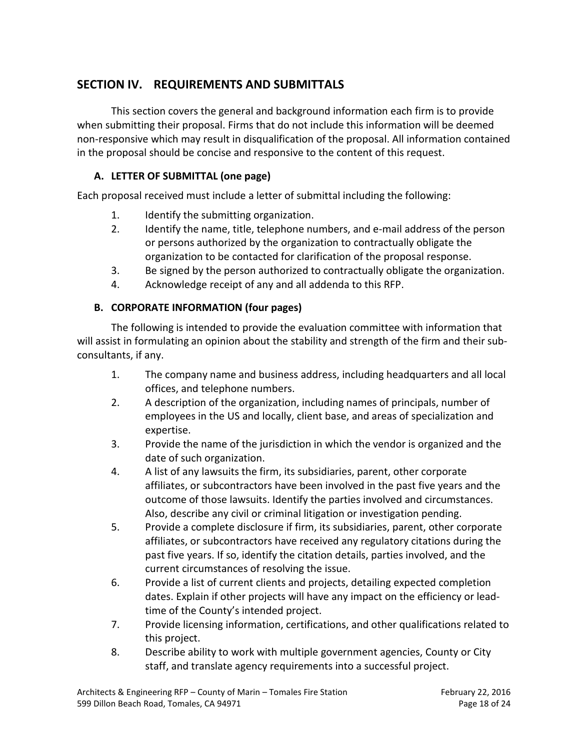# <span id="page-17-0"></span>**SECTION IV. REQUIREMENTS AND SUBMITTALS**

This section covers the general and background information each firm is to provide when submitting their proposal. Firms that do not include this information will be deemed non-responsive which may result in disqualification of the proposal. All information contained in the proposal should be concise and responsive to the content of this request.

## <span id="page-17-1"></span>**A. LETTER OF SUBMITTAL (one page)**

Each proposal received must include a letter of submittal including the following:

- 1. Identify the submitting organization.
- 2. Identify the name, title, telephone numbers, and e-mail address of the person or persons authorized by the organization to contractually obligate the organization to be contacted for clarification of the proposal response.
- 3. Be signed by the person authorized to contractually obligate the organization.
- 4. Acknowledge receipt of any and all addenda to this RFP.

#### <span id="page-17-2"></span>**B. CORPORATE INFORMATION (four pages)**

The following is intended to provide the evaluation committee with information that will assist in formulating an opinion about the stability and strength of the firm and their subconsultants, if any.

- 1. The company name and business address, including headquarters and all local offices, and telephone numbers.
- 2. A description of the organization, including names of principals, number of employees in the US and locally, client base, and areas of specialization and expertise.
- 3. Provide the name of the jurisdiction in which the vendor is organized and the date of such organization.
- 4. A list of any lawsuits the firm, its subsidiaries, parent, other corporate affiliates, or subcontractors have been involved in the past five years and the outcome of those lawsuits. Identify the parties involved and circumstances. Also, describe any civil or criminal litigation or investigation pending.
- 5. Provide a complete disclosure if firm, its subsidiaries, parent, other corporate affiliates, or subcontractors have received any regulatory citations during the past five years. If so, identify the citation details, parties involved, and the current circumstances of resolving the issue.
- 6. Provide a list of current clients and projects, detailing expected completion dates. Explain if other projects will have any impact on the efficiency or leadtime of the County's intended project.
- 7. Provide licensing information, certifications, and other qualifications related to this project.
- 8. Describe ability to work with multiple government agencies, County or City staff, and translate agency requirements into a successful project.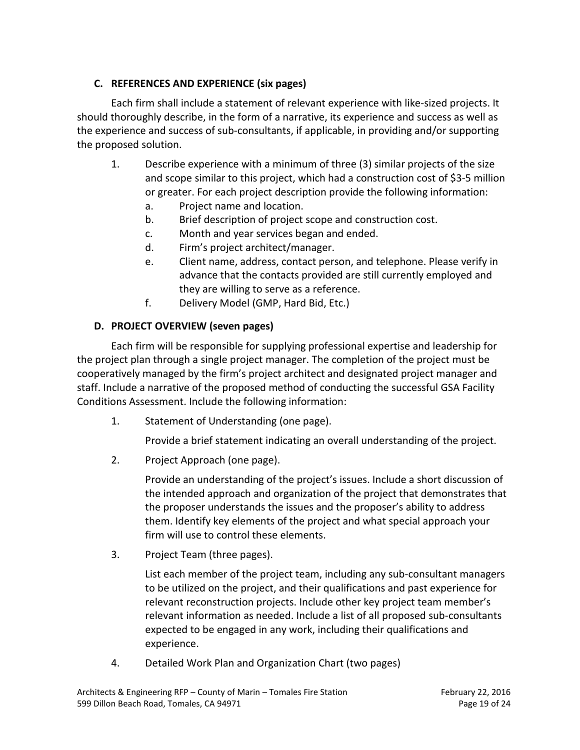## <span id="page-18-0"></span>**C. REFERENCES AND EXPERIENCE (six pages)**

Each firm shall include a statement of relevant experience with like-sized projects. It should thoroughly describe, in the form of a narrative, its experience and success as well as the experience and success of sub-consultants, if applicable, in providing and/or supporting the proposed solution.

- 1. Describe experience with a minimum of three (3) similar projects of the size and scope similar to this project, which had a construction cost of \$3-5 million or greater. For each project description provide the following information:
	- a. Project name and location.
	- b. Brief description of project scope and construction cost.
	- c. Month and year services began and ended.
	- d. Firm's project architect/manager.
	- e. Client name, address, contact person, and telephone. Please verify in advance that the contacts provided are still currently employed and they are willing to serve as a reference.
	- f. Delivery Model (GMP, Hard Bid, Etc.)

# <span id="page-18-1"></span>**D. PROJECT OVERVIEW (seven pages)**

Each firm will be responsible for supplying professional expertise and leadership for the project plan through a single project manager. The completion of the project must be cooperatively managed by the firm's project architect and designated project manager and staff. Include a narrative of the proposed method of conducting the successful GSA Facility Conditions Assessment. Include the following information:

1. Statement of Understanding (one page).

Provide a brief statement indicating an overall understanding of the project.

2. Project Approach (one page).

Provide an understanding of the project's issues. Include a short discussion of the intended approach and organization of the project that demonstrates that the proposer understands the issues and the proposer's ability to address them. Identify key elements of the project and what special approach your firm will use to control these elements.

3. Project Team (three pages).

List each member of the project team, including any sub-consultant managers to be utilized on the project, and their qualifications and past experience for relevant reconstruction projects. Include other key project team member's relevant information as needed. Include a list of all proposed sub-consultants expected to be engaged in any work, including their qualifications and experience.

4. Detailed Work Plan and Organization Chart (two pages)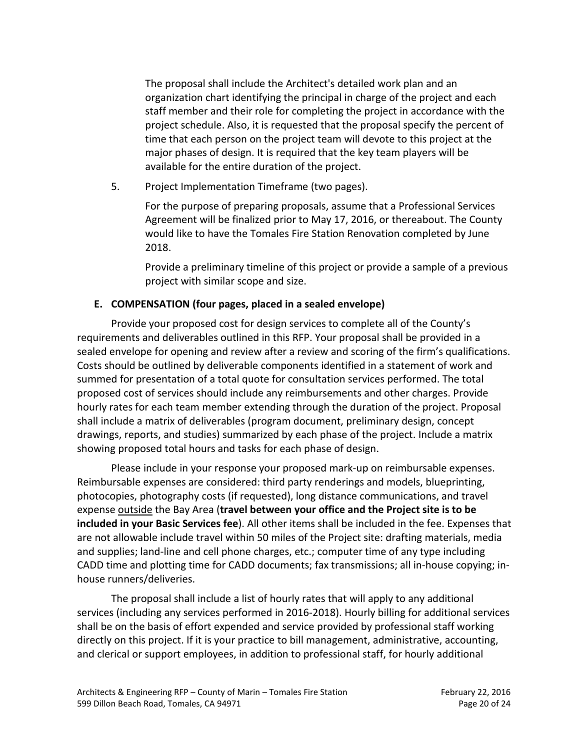The proposal shall include the Architect's detailed work plan and an organization chart identifying the principal in charge of the project and each staff member and their role for completing the project in accordance with the project schedule. Also, it is requested that the proposal specify the percent of time that each person on the project team will devote to this project at the major phases of design. It is required that the key team players will be available for the entire duration of the project.

5. Project Implementation Timeframe (two pages).

For the purpose of preparing proposals, assume that a Professional Services Agreement will be finalized prior to May 17, 2016, or thereabout. The County would like to have the Tomales Fire Station Renovation completed by June 2018.

Provide a preliminary timeline of this project or provide a sample of a previous project with similar scope and size.

#### <span id="page-19-0"></span>**E. COMPENSATION (four pages, placed in a sealed envelope)**

Provide your proposed cost for design services to complete all of the County's requirements and deliverables outlined in this RFP. Your proposal shall be provided in a sealed envelope for opening and review after a review and scoring of the firm's qualifications. Costs should be outlined by deliverable components identified in a statement of work and summed for presentation of a total quote for consultation services performed. The total proposed cost of services should include any reimbursements and other charges. Provide hourly rates for each team member extending through the duration of the project. Proposal shall include a matrix of deliverables (program document, preliminary design, concept drawings, reports, and studies) summarized by each phase of the project. Include a matrix showing proposed total hours and tasks for each phase of design.

Please include in your response your proposed mark-up on reimbursable expenses. Reimbursable expenses are considered: third party renderings and models, blueprinting, photocopies, photography costs (if requested), long distance communications, and travel expense outside the Bay Area (**travel between your office and the Project site is to be included in your Basic Services fee**). All other items shall be included in the fee. Expenses that are not allowable include travel within 50 miles of the Project site: drafting materials, media and supplies; land-line and cell phone charges, etc.; computer time of any type including CADD time and plotting time for CADD documents; fax transmissions; all in-house copying; inhouse runners/deliveries.

The proposal shall include a list of hourly rates that will apply to any additional services (including any services performed in 2016-2018). Hourly billing for additional services shall be on the basis of effort expended and service provided by professional staff working directly on this project. If it is your practice to bill management, administrative, accounting, and clerical or support employees, in addition to professional staff, for hourly additional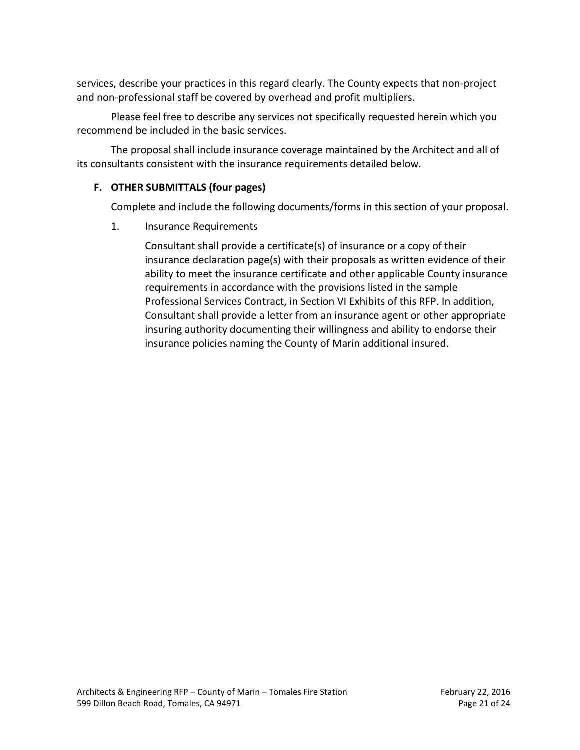services, describe your practices in this regard clearly. The County expects that non-project and non-professional staff be covered by overhead and profit multipliers.

Please feel free to describe any services not specifically requested herein which you recommend be included in the basic services.

The proposal shall include insurance coverage maintained by the Architect and all of its consultants consistent with the insurance requirements detailed below.

### <span id="page-20-0"></span>**F. OTHER SUBMITTALS (four pages)**

Complete and include the following documents/forms in this section of your proposal.

#### 1. Insurance Requirements

Consultant shall provide a certificate(s) of insurance or a copy of their insurance declaration page(s) with their proposals as written evidence of their ability to meet the insurance certificate and other applicable County insurance requirements in accordance with the provisions listed in the sample Professional Services Contract, in Section VI Exhibits of this RFP. In addition, Consultant shall provide a letter from an insurance agent or other appropriate insuring authority documenting their willingness and ability to endorse their insurance policies naming the County of Marin additional insured.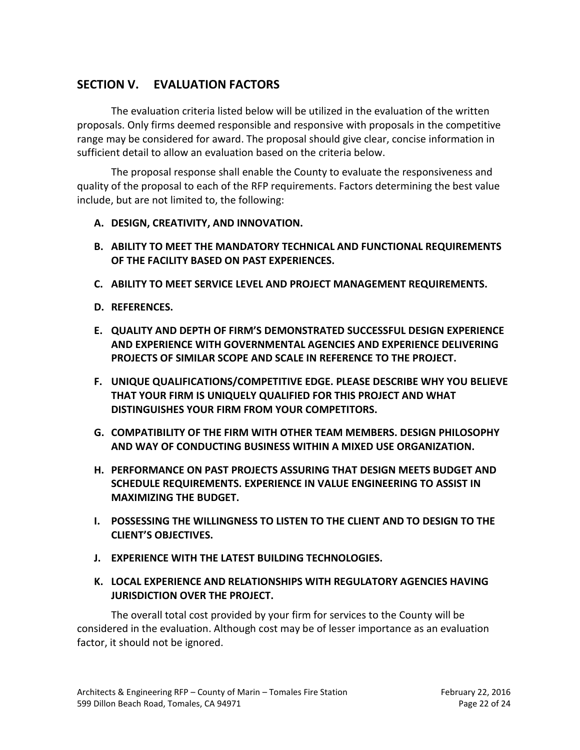# <span id="page-21-0"></span>**SECTION V. EVALUATION FACTORS**

The evaluation criteria listed below will be utilized in the evaluation of the written proposals. Only firms deemed responsible and responsive with proposals in the competitive range may be considered for award. The proposal should give clear, concise information in sufficient detail to allow an evaluation based on the criteria below.

The proposal response shall enable the County to evaluate the responsiveness and quality of the proposal to each of the RFP requirements. Factors determining the best value include, but are not limited to, the following:

- <span id="page-21-1"></span>**A. DESIGN, CREATIVITY, AND INNOVATION.**
- <span id="page-21-2"></span>**B. ABILITY TO MEET THE MANDATORY TECHNICAL AND FUNCTIONAL REQUIREMENTS OF THE FACILITY BASED ON PAST EXPERIENCES.**
- <span id="page-21-3"></span>**C. ABILITY TO MEET SERVICE LEVEL AND PROJECT MANAGEMENT REQUIREMENTS.**
- <span id="page-21-4"></span>**D. REFERENCES.**
- <span id="page-21-5"></span>**E. QUALITY AND DEPTH OF FIRM'S DEMONSTRATED SUCCESSFUL DESIGN EXPERIENCE AND EXPERIENCE WITH GOVERNMENTAL AGENCIES AND EXPERIENCE DELIVERING PROJECTS OF SIMILAR SCOPE AND SCALE IN REFERENCE TO THE PROJECT.**
- <span id="page-21-6"></span>**F. UNIQUE QUALIFICATIONS/COMPETITIVE EDGE. PLEASE DESCRIBE WHY YOU BELIEVE THAT YOUR FIRM IS UNIQUELY QUALIFIED FOR THIS PROJECT AND WHAT DISTINGUISHES YOUR FIRM FROM YOUR COMPETITORS.**
- <span id="page-21-7"></span>**G. COMPATIBILITY OF THE FIRM WITH OTHER TEAM MEMBERS. DESIGN PHILOSOPHY AND WAY OF CONDUCTING BUSINESS WITHIN A MIXED USE ORGANIZATION.**
- <span id="page-21-8"></span>**H. PERFORMANCE ON PAST PROJECTS ASSURING THAT DESIGN MEETS BUDGET AND SCHEDULE REQUIREMENTS. EXPERIENCE IN VALUE ENGINEERING TO ASSIST IN MAXIMIZING THE BUDGET.**
- <span id="page-21-9"></span>**I. POSSESSING THE WILLINGNESS TO LISTEN TO THE CLIENT AND TO DESIGN TO THE CLIENT'S OBJECTIVES.**
- <span id="page-21-10"></span>**J. EXPERIENCE WITH THE LATEST BUILDING TECHNOLOGIES.**
- <span id="page-21-11"></span>**K. LOCAL EXPERIENCE AND RELATIONSHIPS WITH REGULATORY AGENCIES HAVING JURISDICTION OVER THE PROJECT.**

The overall total cost provided by your firm for services to the County will be considered in the evaluation. Although cost may be of lesser importance as an evaluation factor, it should not be ignored.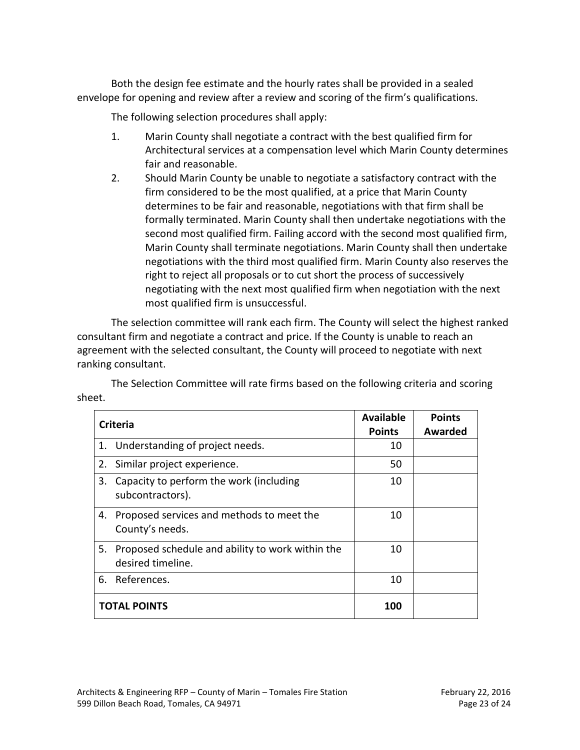Both the design fee estimate and the hourly rates shall be provided in a sealed envelope for opening and review after a review and scoring of the firm's qualifications.

The following selection procedures shall apply:

- 1. Marin County shall negotiate a contract with the best qualified firm for Architectural services at a compensation level which Marin County determines fair and reasonable.
- 2. Should Marin County be unable to negotiate a satisfactory contract with the firm considered to be the most qualified, at a price that Marin County determines to be fair and reasonable, negotiations with that firm shall be formally terminated. Marin County shall then undertake negotiations with the second most qualified firm. Failing accord with the second most qualified firm, Marin County shall terminate negotiations. Marin County shall then undertake negotiations with the third most qualified firm. Marin County also reserves the right to reject all proposals or to cut short the process of successively negotiating with the next most qualified firm when negotiation with the next most qualified firm is unsuccessful.

The selection committee will rank each firm. The County will select the highest ranked consultant firm and negotiate a contract and price. If the County is unable to reach an agreement with the selected consultant, the County will proceed to negotiate with next ranking consultant.

The Selection Committee will rate firms based on the following criteria and scoring sheet.

| Criteria            |                                                                       | <b>Available</b><br><b>Points</b> | <b>Points</b><br>Awarded |
|---------------------|-----------------------------------------------------------------------|-----------------------------------|--------------------------|
|                     | 1. Understanding of project needs.                                    | 10                                |                          |
|                     | 2. Similar project experience.                                        | 50                                |                          |
| 3.                  | Capacity to perform the work (including<br>subcontractors).           | 10                                |                          |
| 4.                  | Proposed services and methods to meet the<br>County's needs.          | 10                                |                          |
| 5.                  | Proposed schedule and ability to work within the<br>desired timeline. | 10                                |                          |
| 6.                  | References.                                                           | 10                                |                          |
| <b>TOTAL POINTS</b> |                                                                       | 100                               |                          |